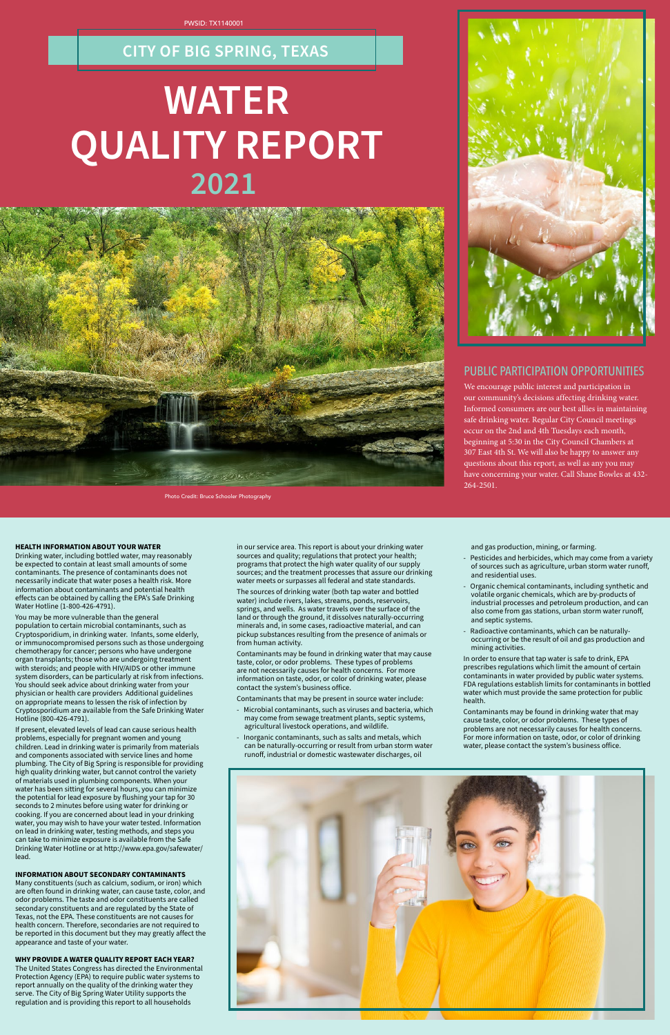# **WATER QUALITY REPORT 2021**



## **CITY OF BIG SPRING, TEXAS**

#### **HEALTH INFORMATION ABOUT YOUR WATER**

Drinking water, including bottled water, may reasonably be expected to contain at least small amounts of some contaminants. The presence of contaminants does not necessarily indicate that water poses a health risk. More information about contaminants and potential health effects can be obtained by calling the EPA's Safe Drinking Water Hotline (1-800-426-4791).

You may be more vulnerable than the general population to certain microbial contaminants, such as Cryptosporidium, in drinking water. Infants, some elderly, or immunocompromised persons such as those undergoing chemotherapy for cancer; persons who have undergone organ transplants; those who are undergoing treatment with steroids; and people with HIV/AIDS or other immune system disorders, can be particularly at risk from infections. You should seek advice about drinking water from your physician or health care providers Additional guidelines on appropriate means to lessen the risk of infection by Cryptosporidium are available from the Safe Drinking Water Hotline (800-426-4791).

If present, elevated levels of lead can cause serious health problems, especially for pregnant women and young children. Lead in drinking water is primarily from materials and components associated with service lines and home

plumbing. The City of Big Spring is responsible for providing high quality drinking water, but cannot control the variety of materials used in plumbing components. When your water has been sitting for several hours, you can minimize the potential for lead exposure by flushing your tap for 30 seconds to 2 minutes before using water for drinking or cooking. If you are concerned about lead in your drinking water, you may wish to have your water tested. Information on lead in drinking water, testing methods, and steps you can take to minimize exposure is available from the Safe Drinking Water Hotline or at http://www.epa.gov/safewater/ lead.

#### **INFORMATION ABOUT SECONDARY CONTAMINANTS**

Many constituents (such as calcium, sodium, or iron) which are often found in drinking water, can cause taste, color, and odor problems. The taste and odor constituents are called secondary constituents and are regulated by the State of Texas, not the EPA. These constituents are not causes for health concern. Therefore, secondaries are not required to be reported in this document but they may greatly affect the appearance and taste of your water.

### **WHY PROVIDE A WATER QUALITY REPORT EACH YEAR?**

- Pesticides and herbicides, which may come from a variety of sources such as agriculture, urban storm water runoff, and residential uses.
- Organic chemical contaminants, including synthetic and volatile organic chemicals, which are by-products of industrial processes and petroleum production, and can also come from gas stations, urban storm water runoff, and septic systems.
- Radioactive contaminants, which can be naturallyoccurring or be the result of oil and gas production and mining activities.

The United States Congress has directed the Environmental Protection Agency (EPA) to require public water systems to report annually on the quality of the drinking water they serve. The City of Big Spring Water Utility supports the regulation and is providing this report to all households



## PUBLIC PARTICIPATION OPPORTUNITIES

We encourage public interest and participation in our community's decisions affecting drinking water. Informed consumers are our best allies in maintaining safe drinking water. Regular City Council meetings occur on the 2nd and 4th Tuesdays each month, beginning at 5:30 in the City Council Chambers at 307 East 4th St. We will also be happy to answer any questions about this report, as well as any you may have concerning your water. Call Shane Bowles at 432- 264-2501.

in our service area. This report is about your drinking water sources and quality; regulations that protect your health; programs that protect the high water quality of our supply sources; and the treatment processes that assure our drinking water meets or surpasses all federal and state standards.

The sources of drinking water (both tap water and bottled water) include rivers, lakes, streams, ponds, reservoirs, springs, and wells. As water travels over the surface of the land or through the ground, it dissolves naturally-occurring minerals and, in some cases, radioactive material, and can pickup substances resulting from the presence of animals or from human activity.

Contaminants may be found in drinking water that may cause taste, color, or odor problems. These types of problems are not necessarily causes for health concerns. For more information on taste, odor, or color of drinking water, please contact the system's business office.

- Contaminants that may be present in source water include:
- Microbial contaminants, such as viruses and bacteria, which may come from sewage treatment plants, septic systems, agricultural livestock operations, and wildlife.
- Inorganic contaminants, such as salts and metals, which can be naturally-occurring or result from urban storm water runoff, industrial or domestic wastewater discharges, oil

and gas production, mining, or farming.

In order to ensure that tap water is safe to drink, EPA prescribes regulations which limit the amount of certain contaminants in water provided by public water systems. FDA regulations establish limits for contaminants in bottled water which must provide the same protection for public health.

Contaminants may be found in drinking water that may cause taste, color, or odor problems. These types of problems are not necessarily causes for health concerns. For more information on taste, odor, or color of drinking water, please contact the system's business office.

PWSID: TX1140001

Photo Credit: Bruce Schooler Photography